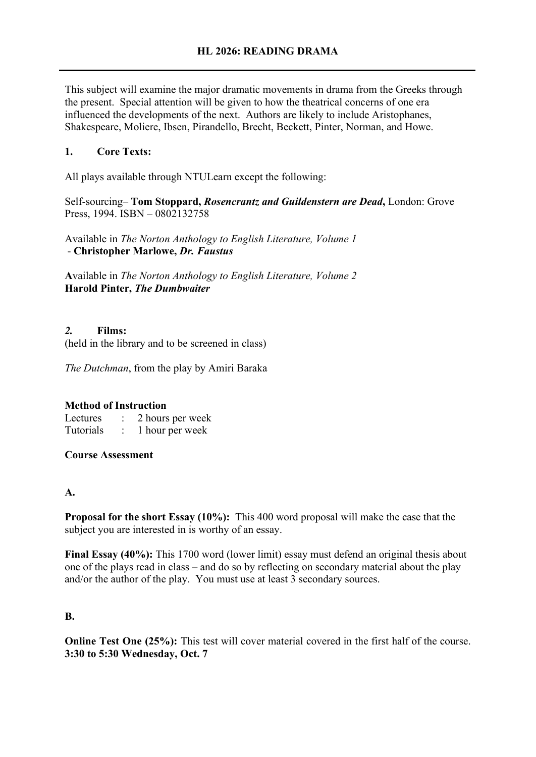This subject will examine the major dramatic movements in drama from the Greeks through the present. Special attention will be given to how the theatrical concerns of one era influenced the developments of the next. Authors are likely to include Aristophanes, Shakespeare, Moliere, Ibsen, Pirandello, Brecht, Beckett, Pinter, Norman, and Howe.

## **1. Core Texts:**

All plays available through NTULearn except the following:

Self-sourcing– **Tom Stoppard,** *Rosencrantz and Guildenstern are Dead***,** London: Grove Press, 1994. ISBN – 0802132758

Available in *The Norton Anthology to English Literature, Volume 1* - **Christopher Marlowe,** *Dr. Faustus*

**A**vailable in *The Norton Anthology to English Literature, Volume 2* **Harold Pinter,** *The Dumbwaiter*

### *2.* **Films:**

(held in the library and to be screened in class)

*The Dutchman*, from the play by Amiri Baraka

### **Method of Instruction**

Lectures : 2 hours per week Tutorials : 1 hour per week

**Course Assessment** 

### **A.**

**Proposal for the short Essay (10%):** This 400 word proposal will make the case that the subject you are interested in is worthy of an essay.

**Final Essay (40%):** This 1700 word (lower limit) essay must defend an original thesis about one of the plays read in class – and do so by reflecting on secondary material about the play and/or the author of the play. You must use at least 3 secondary sources.

### **B.**

**Online Test One (25%):** This test will cover material covered in the first half of the course. **3:30 to 5:30 Wednesday, Oct. 7**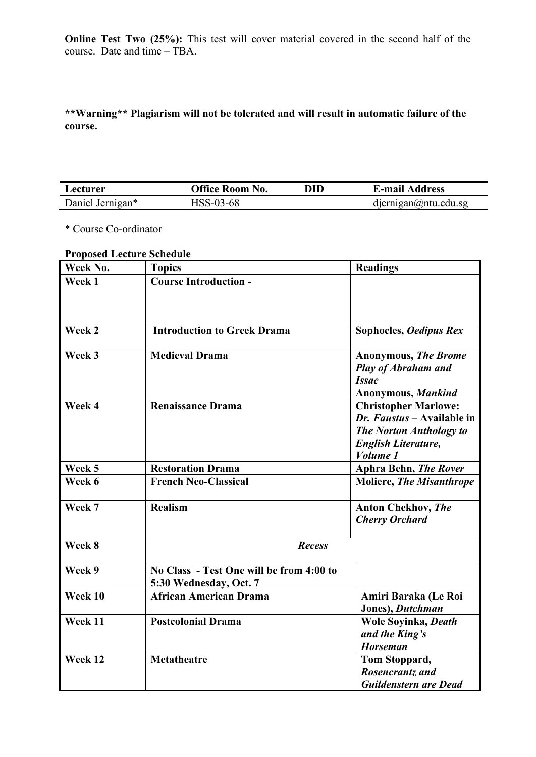**Online Test Two (25%):** This test will cover material covered in the second half of the course. Date and time – TBA.

**\*\*Warning\*\* Plagiarism will not be tolerated and will result in automatic failure of the course.**

| Lecturer         | <b>Office Room No.</b> | DID | <b>E-mail Address</b>              |
|------------------|------------------------|-----|------------------------------------|
| Daniel Jernigan* | HSS-03-68              |     | $d$ iernigan $\omega$ ntu. edu. sg |

\* Course Co-ordinator

# **Proposed Lecture Schedule**

| Week No. | <b>Topics</b>                                                      | <b>Readings</b>                                                                                                                       |
|----------|--------------------------------------------------------------------|---------------------------------------------------------------------------------------------------------------------------------------|
| Week 1   | <b>Course Introduction -</b>                                       |                                                                                                                                       |
| Week 2   | <b>Introduction to Greek Drama</b>                                 | Sophocles, Oedipus Rex                                                                                                                |
| Week 3   | <b>Medieval Drama</b>                                              | <b>Anonymous, The Brome</b><br><b>Play of Abraham and</b><br><b>Issac</b><br>Anonymous, Mankind                                       |
| Week 4   | <b>Renaissance Drama</b>                                           | <b>Christopher Marlowe:</b><br>Dr. Faustus - Available in<br><b>The Norton Anthology to</b><br><b>English Literature,</b><br>Volume 1 |
| Week 5   | <b>Restoration Drama</b>                                           | <b>Aphra Behn, The Rover</b>                                                                                                          |
| Week 6   | <b>French Neo-Classical</b>                                        | <b>Moliere, The Misanthrope</b>                                                                                                       |
| Week 7   | <b>Realism</b>                                                     | <b>Anton Chekhov, The</b><br><b>Cherry Orchard</b>                                                                                    |
| Week 8   | <b>Recess</b>                                                      |                                                                                                                                       |
| Week 9   | No Class - Test One will be from 4:00 to<br>5:30 Wednesday, Oct. 7 |                                                                                                                                       |
| Week 10  | <b>African American Drama</b>                                      | Amiri Baraka (Le Roi<br>Jones), Dutchman                                                                                              |
| Week 11  | <b>Postcolonial Drama</b>                                          | Wole Soyinka, Death<br>and the King's<br><b>Horseman</b>                                                                              |
| Week 12  | Metatheatre                                                        | Tom Stoppard,<br>Rosencrantz and<br><b>Guildenstern are Dead</b>                                                                      |